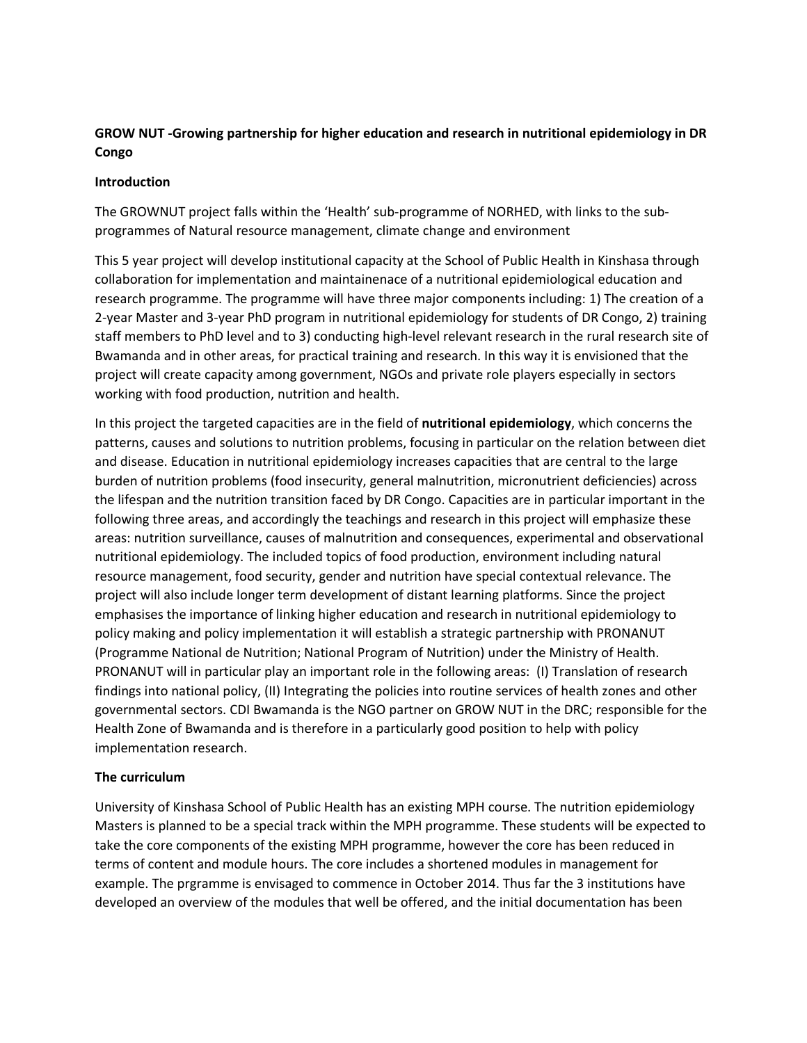# **GROW NUT -Growing partnership for higher education and research in nutritional epidemiology in DR Congo**

## **Introduction**

The GROWNUT project falls within the 'Health' sub-programme of NORHED, with links to the subprogrammes of Natural resource management, climate change and environment

This 5 year project will develop institutional capacity at the School of Public Health in Kinshasa through collaboration for implementation and maintainenace of a nutritional epidemiological education and research programme. The programme will have three major components including: 1) The creation of a 2-year Master and 3-year PhD program in nutritional epidemiology for students of DR Congo, 2) training staff members to PhD level and to 3) conducting high-level relevant research in the rural research site of Bwamanda and in other areas, for practical training and research. In this way it is envisioned that the project will create capacity among government, NGOs and private role players especially in sectors working with food production, nutrition and health.

In this project the targeted capacities are in the field of **nutritional epidemiology**, which concerns the patterns, causes and solutions to nutrition problems, focusing in particular on the relation between diet and disease. Education in nutritional epidemiology increases capacities that are central to the large burden of nutrition problems (food insecurity, general malnutrition, micronutrient deficiencies) across the lifespan and the nutrition transition faced by DR Congo. Capacities are in particular important in the following three areas, and accordingly the teachings and research in this project will emphasize these areas: nutrition surveillance, causes of malnutrition and consequences, experimental and observational nutritional epidemiology. The included topics of food production, environment including natural resource management, food security, gender and nutrition have special contextual relevance. The project will also include longer term development of distant learning platforms. Since the project emphasises the importance of linking higher education and research in nutritional epidemiology to policy making and policy implementation it will establish a strategic partnership with PRONANUT (Programme National de Nutrition; National Program of Nutrition) under the Ministry of Health. PRONANUT will in particular play an important role in the following areas: (I) Translation of research findings into national policy, (II) Integrating the policies into routine services of health zones and other governmental sectors. CDI Bwamanda is the NGO partner on GROW NUT in the DRC; responsible for the Health Zone of Bwamanda and is therefore in a particularly good position to help with policy implementation research.

## **The curriculum**

University of Kinshasa School of Public Health has an existing MPH course. The nutrition epidemiology Masters is planned to be a special track within the MPH programme. These students will be expected to take the core components of the existing MPH programme, however the core has been reduced in terms of content and module hours. The core includes a shortened modules in management for example. The prgramme is envisaged to commence in October 2014. Thus far the 3 institutions have developed an overview of the modules that well be offered, and the initial documentation has been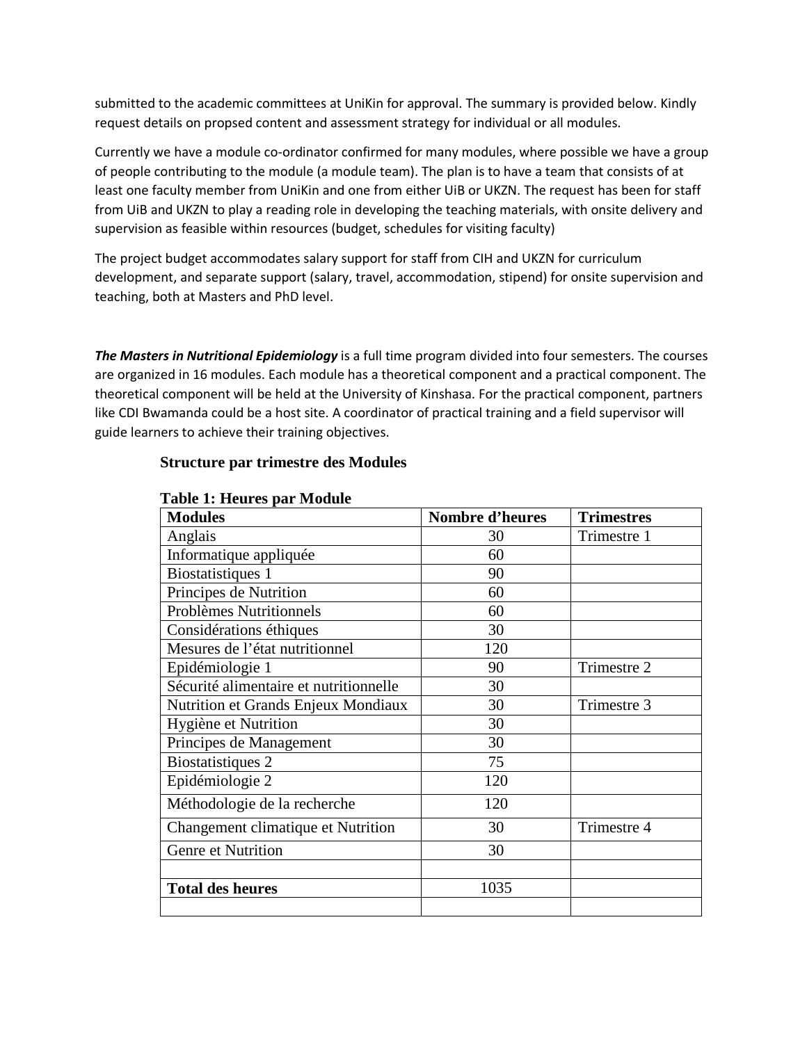submitted to the academic committees at UniKin for approval. The summary is provided below. Kindly request details on propsed content and assessment strategy for individual or all modules.

Currently we have a module co-ordinator confirmed for many modules, where possible we have a group of people contributing to the module (a module team). The plan is to have a team that consists of at least one faculty member from UniKin and one from either UiB or UKZN. The request has been for staff from UiB and UKZN to play a reading role in developing the teaching materials, with onsite delivery and supervision as feasible within resources (budget, schedules for visiting faculty)

The project budget accommodates salary support for staff from CIH and UKZN for curriculum development, and separate support (salary, travel, accommodation, stipend) for onsite supervision and teaching, both at Masters and PhD level.

*The Masters in Nutritional Epidemiology* is a full time program divided into four semesters. The courses are organized in 16 modules. Each module has a theoretical component and a practical component. The theoretical component will be held at the University of Kinshasa. For the practical component, partners like CDI Bwamanda could be a host site. A coordinator of practical training and a field supervisor will guide learners to achieve their training objectives.

## **Structure par trimestre des Modules**

| <b>Modules</b>                         | <b>Nombre d'heures</b> | <b>Trimestres</b> |
|----------------------------------------|------------------------|-------------------|
| Anglais                                | 30                     | Trimestre 1       |
| Informatique appliquée                 | 60                     |                   |
| Biostatistiques 1                      | 90                     |                   |
| Principes de Nutrition                 | 60                     |                   |
| <b>Problèmes Nutritionnels</b>         | 60                     |                   |
| Considérations éthiques                | 30                     |                   |
| Mesures de l'état nutritionnel         | 120                    |                   |
| Epidémiologie 1                        | 90                     | Trimestre 2       |
| Sécurité alimentaire et nutritionnelle | 30                     |                   |
| Nutrition et Grands Enjeux Mondiaux    | 30                     | Trimestre 3       |
| Hygiène et Nutrition                   | 30                     |                   |
| Principes de Management                | 30                     |                   |
| Biostatistiques 2                      | 75                     |                   |
| Epidémiologie 2                        | 120                    |                   |
| Méthodologie de la recherche           | 120                    |                   |
| Changement climatique et Nutrition     | 30                     | Trimestre 4       |
| Genre et Nutrition                     | 30                     |                   |
|                                        |                        |                   |
| <b>Total des heures</b>                | 1035                   |                   |
|                                        |                        |                   |

### **Table 1: Heures par Module**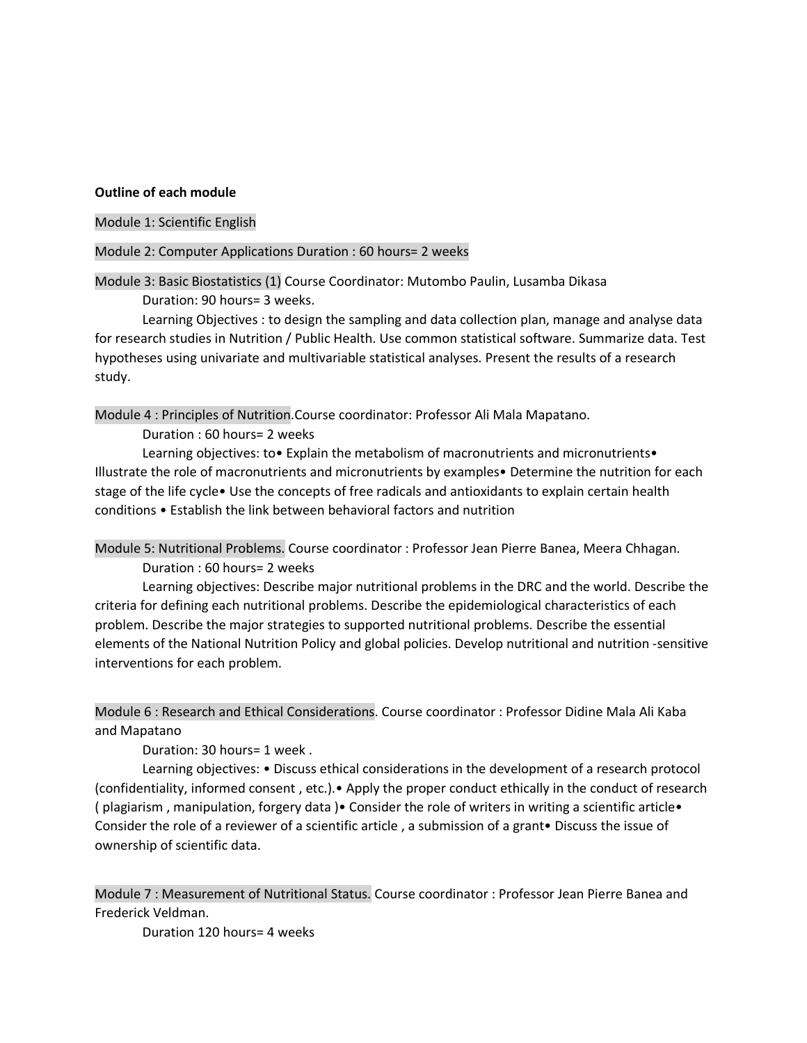#### **Outline of each module**

#### Module 1: Scientific English

#### Module 2: Computer Applications Duration : 60 hours= 2 weeks

Module 3: Basic Biostatistics (1) Course Coordinator: Mutombo Paulin, Lusamba Dikasa Duration: 90 hours= 3 weeks.

Learning Objectives : to design the sampling and data collection plan, manage and analyse data for research studies in Nutrition / Public Health. Use common statistical software. Summarize data. Test hypotheses using univariate and multivariable statistical analyses. Present the results of a research study.

Module 4 : Principles of Nutrition.Course coordinator: Professor Ali Mala Mapatano.

Duration : 60 hours= 2 weeks

Learning objectives: to• Explain the metabolism of macronutrients and micronutrients• Illustrate the role of macronutrients and micronutrients by examples• Determine the nutrition for each stage of the life cycle• Use the concepts of free radicals and antioxidants to explain certain health conditions • Establish the link between behavioral factors and nutrition

Module 5: Nutritional Problems. Course coordinator : Professor Jean Pierre Banea, Meera Chhagan. Duration : 60 hours= 2 weeks

Learning objectives: Describe major nutritional problems in the DRC and the world. Describe the criteria for defining each nutritional problems. Describe the epidemiological characteristics of each problem. Describe the major strategies to supported nutritional problems. Describe the essential

elements of the National Nutrition Policy and global policies. Develop nutritional and nutrition -sensitive interventions for each problem.

Module 6 : Research and Ethical Considerations. Course coordinator : Professor Didine Mala Ali Kaba and Mapatano

Duration: 30 hours= 1 week .

Learning objectives: • Discuss ethical considerations in the development of a research protocol (confidentiality, informed consent , etc.).• Apply the proper conduct ethically in the conduct of research ( plagiarism , manipulation, forgery data )• Consider the role of writers in writing a scientific article• Consider the role of a reviewer of a scientific article , a submission of a grant• Discuss the issue of ownership of scientific data.

Module 7 : Measurement of Nutritional Status. Course coordinator : Professor Jean Pierre Banea and Frederick Veldman.

Duration 120 hours= 4 weeks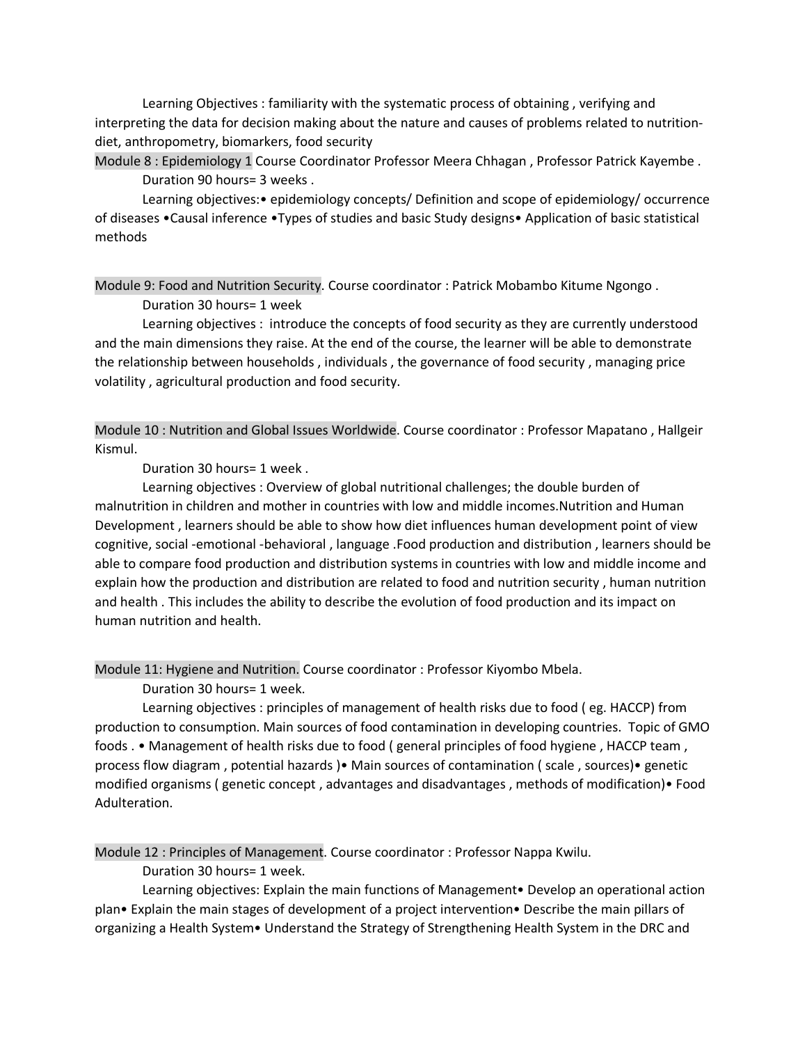Learning Objectives : familiarity with the systematic process of obtaining , verifying and interpreting the data for decision making about the nature and causes of problems related to nutritiondiet, anthropometry, biomarkers, food security

Module 8 : Epidemiology 1 Course Coordinator Professor Meera Chhagan , Professor Patrick Kayembe . Duration 90 hours= 3 weeks .

Learning objectives:• epidemiology concepts/ Definition and scope of epidemiology/ occurrence of diseases •Causal inference •Types of studies and basic Study designs• Application of basic statistical methods

Module 9: Food and Nutrition Security. Course coordinator : Patrick Mobambo Kitume Ngongo . Duration 30 hours= 1 week

Learning objectives : introduce the concepts of food security as they are currently understood and the main dimensions they raise. At the end of the course, the learner will be able to demonstrate the relationship between households , individuals , the governance of food security , managing price volatility , agricultural production and food security.

Module 10 : Nutrition and Global Issues Worldwide. Course coordinator : Professor Mapatano , Hallgeir Kismul.

Duration 30 hours= 1 week .

Learning objectives : Overview of global nutritional challenges; the double burden of malnutrition in children and mother in countries with low and middle incomes.Nutrition and Human Development , learners should be able to show how diet influences human development point of view cognitive, social -emotional -behavioral , language .Food production and distribution , learners should be able to compare food production and distribution systems in countries with low and middle income and explain how the production and distribution are related to food and nutrition security , human nutrition and health . This includes the ability to describe the evolution of food production and its impact on human nutrition and health.

Module 11: Hygiene and Nutrition. Course coordinator : Professor Kiyombo Mbela.

Duration 30 hours= 1 week.

Learning objectives : principles of management of health risks due to food ( eg. HACCP) from production to consumption. Main sources of food contamination in developing countries. Topic of GMO foods . • Management of health risks due to food ( general principles of food hygiene , HACCP team , process flow diagram , potential hazards )• Main sources of contamination ( scale , sources)• genetic modified organisms ( genetic concept , advantages and disadvantages , methods of modification)• Food Adulteration.

Module 12 : Principles of Management. Course coordinator : Professor Nappa Kwilu.

Duration 30 hours= 1 week.

Learning objectives: Explain the main functions of Management• Develop an operational action plan• Explain the main stages of development of a project intervention• Describe the main pillars of organizing a Health System• Understand the Strategy of Strengthening Health System in the DRC and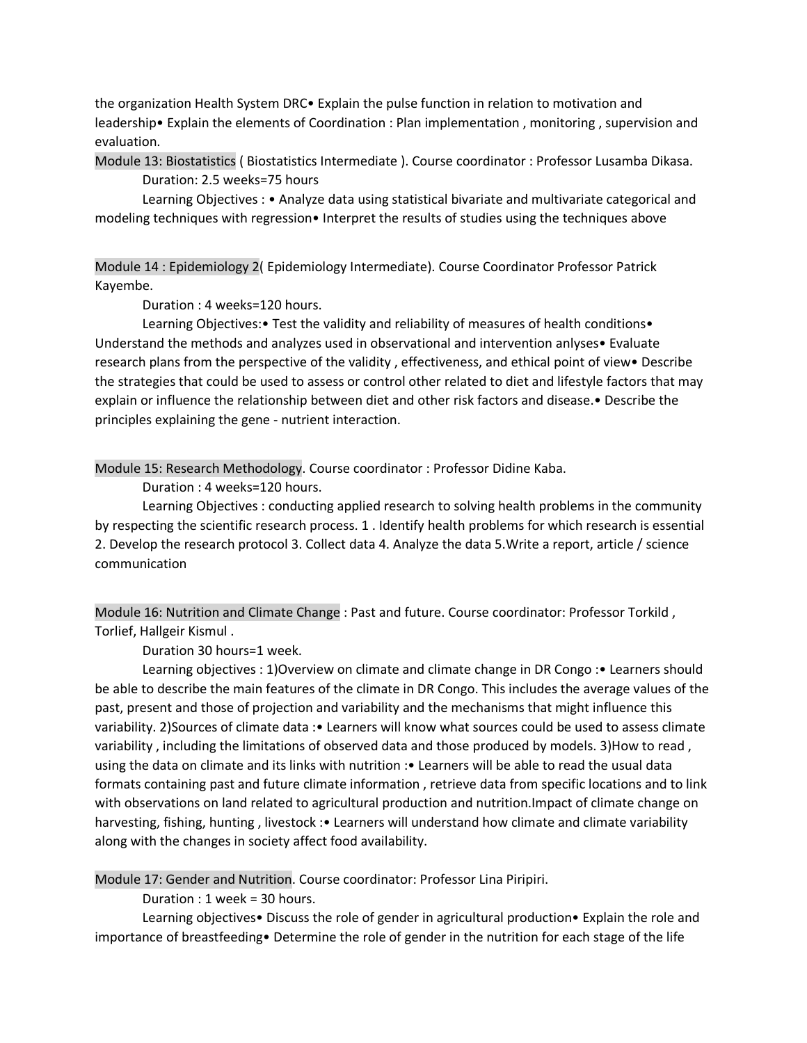the organization Health System DRC• Explain the pulse function in relation to motivation and leadership• Explain the elements of Coordination : Plan implementation , monitoring , supervision and evaluation.

Module 13: Biostatistics ( Biostatistics Intermediate ). Course coordinator : Professor Lusamba Dikasa. Duration: 2.5 weeks=75 hours

Learning Objectives : • Analyze data using statistical bivariate and multivariate categorical and modeling techniques with regression• Interpret the results of studies using the techniques above

Module 14 : Epidemiology 2( Epidemiology Intermediate). Course Coordinator Professor Patrick Kayembe.

Duration : 4 weeks=120 hours.

Learning Objectives:• Test the validity and reliability of measures of health conditions• Understand the methods and analyzes used in observational and intervention anlyses• Evaluate research plans from the perspective of the validity , effectiveness, and ethical point of view• Describe the strategies that could be used to assess or control other related to diet and lifestyle factors that may explain or influence the relationship between diet and other risk factors and disease.• Describe the principles explaining the gene - nutrient interaction.

Module 15: Research Methodology. Course coordinator : Professor Didine Kaba.

Duration : 4 weeks=120 hours.

Learning Objectives : conducting applied research to solving health problems in the community by respecting the scientific research process. 1 . Identify health problems for which research is essential 2. Develop the research protocol 3. Collect data 4. Analyze the data 5.Write a report, article / science communication

Module 16: Nutrition and Climate Change : Past and future. Course coordinator: Professor Torkild , Torlief, Hallgeir Kismul .

Duration 30 hours=1 week.

Learning objectives : 1)Overview on climate and climate change in DR Congo :• Learners should be able to describe the main features of the climate in DR Congo. This includes the average values of the past, present and those of projection and variability and the mechanisms that might influence this variability. 2)Sources of climate data :• Learners will know what sources could be used to assess climate variability , including the limitations of observed data and those produced by models. 3)How to read , using the data on climate and its links with nutrition :• Learners will be able to read the usual data formats containing past and future climate information , retrieve data from specific locations and to link with observations on land related to agricultural production and nutrition.Impact of climate change on harvesting, fishing, hunting, livestock : • Learners will understand how climate and climate variability along with the changes in society affect food availability.

Module 17: Gender and Nutrition. Course coordinator: Professor Lina Piripiri.

Duration : 1 week = 30 hours.

Learning objectives• Discuss the role of gender in agricultural production• Explain the role and importance of breastfeeding• Determine the role of gender in the nutrition for each stage of the life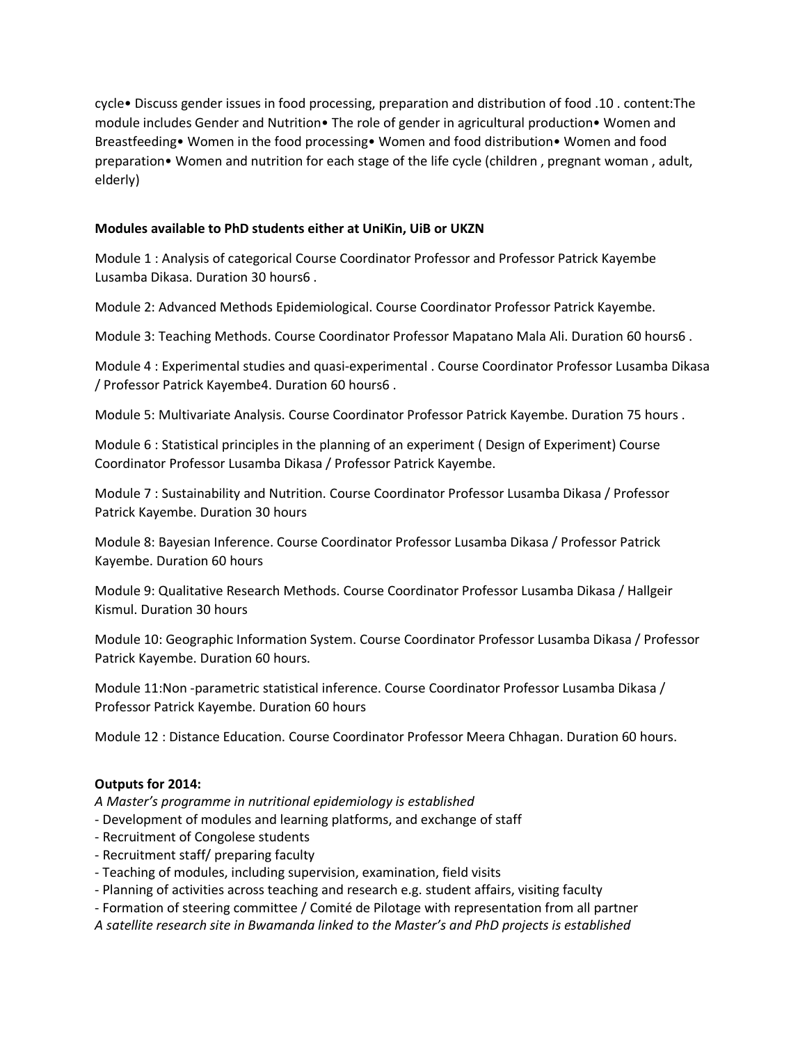cycle• Discuss gender issues in food processing, preparation and distribution of food .10 . content:The module includes Gender and Nutrition• The role of gender in agricultural production• Women and Breastfeeding• Women in the food processing• Women and food distribution• Women and food preparation• Women and nutrition for each stage of the life cycle (children , pregnant woman , adult, elderly)

## **Modules available to PhD students either at UniKin, UiB or UKZN**

Module 1 : Analysis of categorical Course Coordinator Professor and Professor Patrick Kayembe Lusamba Dikasa. Duration 30 hours6 .

Module 2: Advanced Methods Epidemiological. Course Coordinator Professor Patrick Kayembe.

Module 3: Teaching Methods. Course Coordinator Professor Mapatano Mala Ali. Duration 60 hours6 .

Module 4 : Experimental studies and quasi-experimental . Course Coordinator Professor Lusamba Dikasa / Professor Patrick Kayembe4. Duration 60 hours6 .

Module 5: Multivariate Analysis. Course Coordinator Professor Patrick Kayembe. Duration 75 hours .

Module 6 : Statistical principles in the planning of an experiment ( Design of Experiment) Course Coordinator Professor Lusamba Dikasa / Professor Patrick Kayembe.

Module 7 : Sustainability and Nutrition. Course Coordinator Professor Lusamba Dikasa / Professor Patrick Kayembe. Duration 30 hours

Module 8: Bayesian Inference. Course Coordinator Professor Lusamba Dikasa / Professor Patrick Kayembe. Duration 60 hours

Module 9: Qualitative Research Methods. Course Coordinator Professor Lusamba Dikasa / Hallgeir Kismul. Duration 30 hours

Module 10: Geographic Information System. Course Coordinator Professor Lusamba Dikasa / Professor Patrick Kayembe. Duration 60 hours.

Module 11:Non -parametric statistical inference. Course Coordinator Professor Lusamba Dikasa / Professor Patrick Kayembe. Duration 60 hours

Module 12 : Distance Education. Course Coordinator Professor Meera Chhagan. Duration 60 hours.

## **Outputs for 2014:**

*A Master's programme in nutritional epidemiology is established*

- Development of modules and learning platforms, and exchange of staff
- Recruitment of Congolese students
- Recruitment staff/ preparing faculty
- Teaching of modules, including supervision, examination, field visits
- Planning of activities across teaching and research e.g. student affairs, visiting faculty

- Formation of steering committee / Comité de Pilotage with representation from all partner

*A satellite research site in Bwamanda linked to the Master's and PhD projects is established*